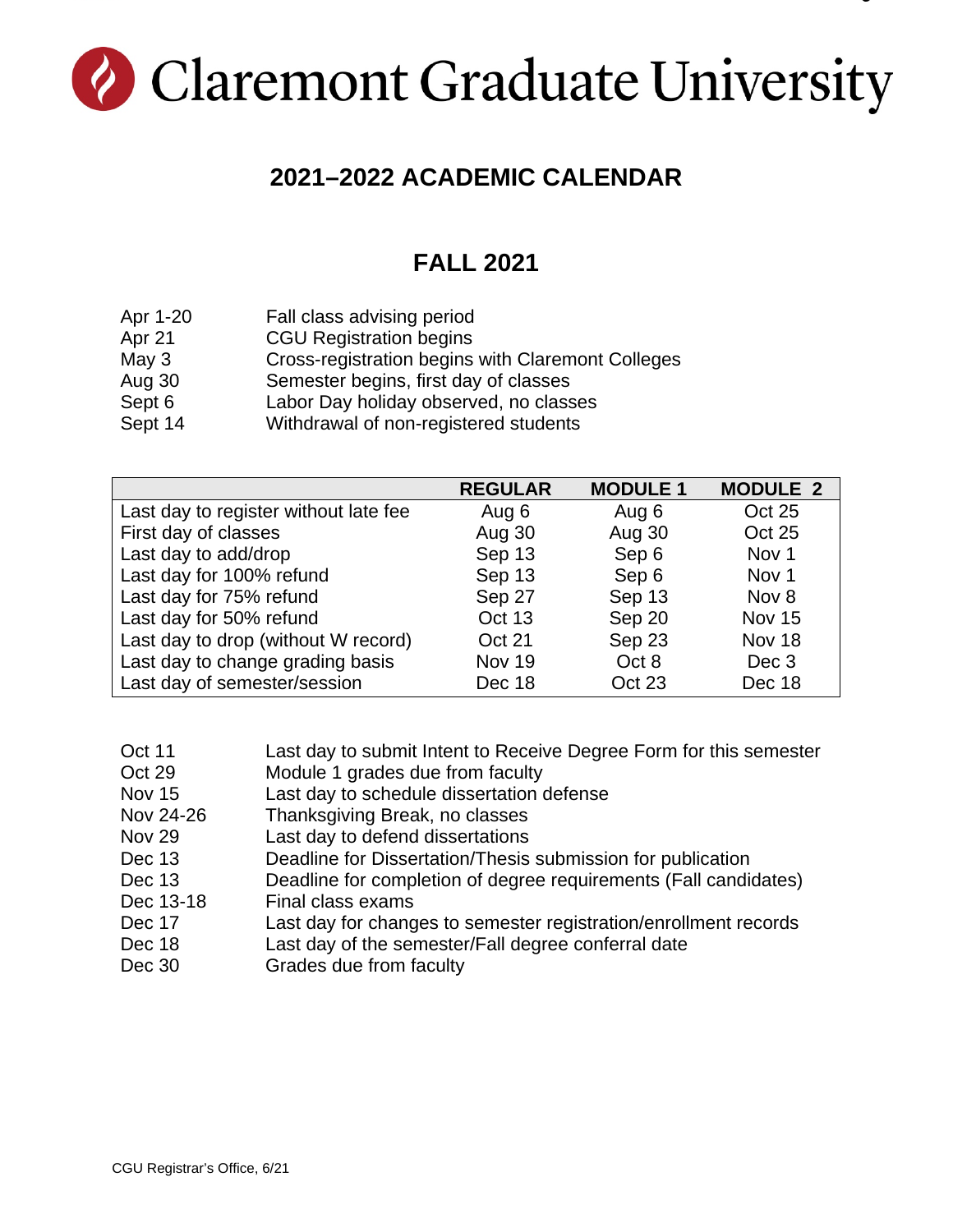# Claremont Graduate University

#### **2021–2022 ACADEMIC CALENDAR**

## **FALL 2021**

| Apr 1-20 | Fall class advising period                        |
|----------|---------------------------------------------------|
| Apr 21   | <b>CGU Registration begins</b>                    |
| May $3$  | Cross-registration begins with Claremont Colleges |
| Aug 30   | Semester begins, first day of classes             |
| Sept 6   | Labor Day holiday observed, no classes            |
| Sept 14  | Withdrawal of non-registered students             |

|                                       | <b>REGULAR</b> | <b>MODULE 1</b> | <b>MODULE 2</b>  |
|---------------------------------------|----------------|-----------------|------------------|
| Last day to register without late fee | Aug 6          | Aug 6           | <b>Oct 25</b>    |
| First day of classes                  | Aug 30         | Aug 30          | <b>Oct 25</b>    |
| Last day to add/drop                  | Sep 13         | Sep 6           | Nov 1            |
| Last day for 100% refund              | Sep 13         | Sep 6           | Nov <sub>1</sub> |
| Last day for 75% refund               | Sep 27         | Sep 13          | Nov 8            |
| Last day for 50% refund               | Oct 13         | Sep 20          | <b>Nov 15</b>    |
| Last day to drop (without W record)   | Oct 21         | Sep 23          | Nov 18           |
| Last day to change grading basis      | <b>Nov 19</b>  | Oct 8           | Dec 3            |
| Last day of semester/session          | Dec 18         | Oct 23          | Dec 18           |

| Oct 11        | Last day to submit Intent to Receive Degree Form for this semester |
|---------------|--------------------------------------------------------------------|
| Oct 29        | Module 1 grades due from faculty                                   |
| <b>Nov 15</b> | Last day to schedule dissertation defense                          |
| Nov 24-26     | Thanksgiving Break, no classes                                     |
| <b>Nov 29</b> | Last day to defend dissertations                                   |
| Dec 13        | Deadline for Dissertation/Thesis submission for publication        |
| Dec 13        | Deadline for completion of degree requirements (Fall candidates)   |
| Dec 13-18     | Final class exams                                                  |
| Dec 17        | Last day for changes to semester registration/enrollment records   |
| Dec 18        | Last day of the semester/Fall degree conferral date                |
| Dec 30        | Grades due from faculty                                            |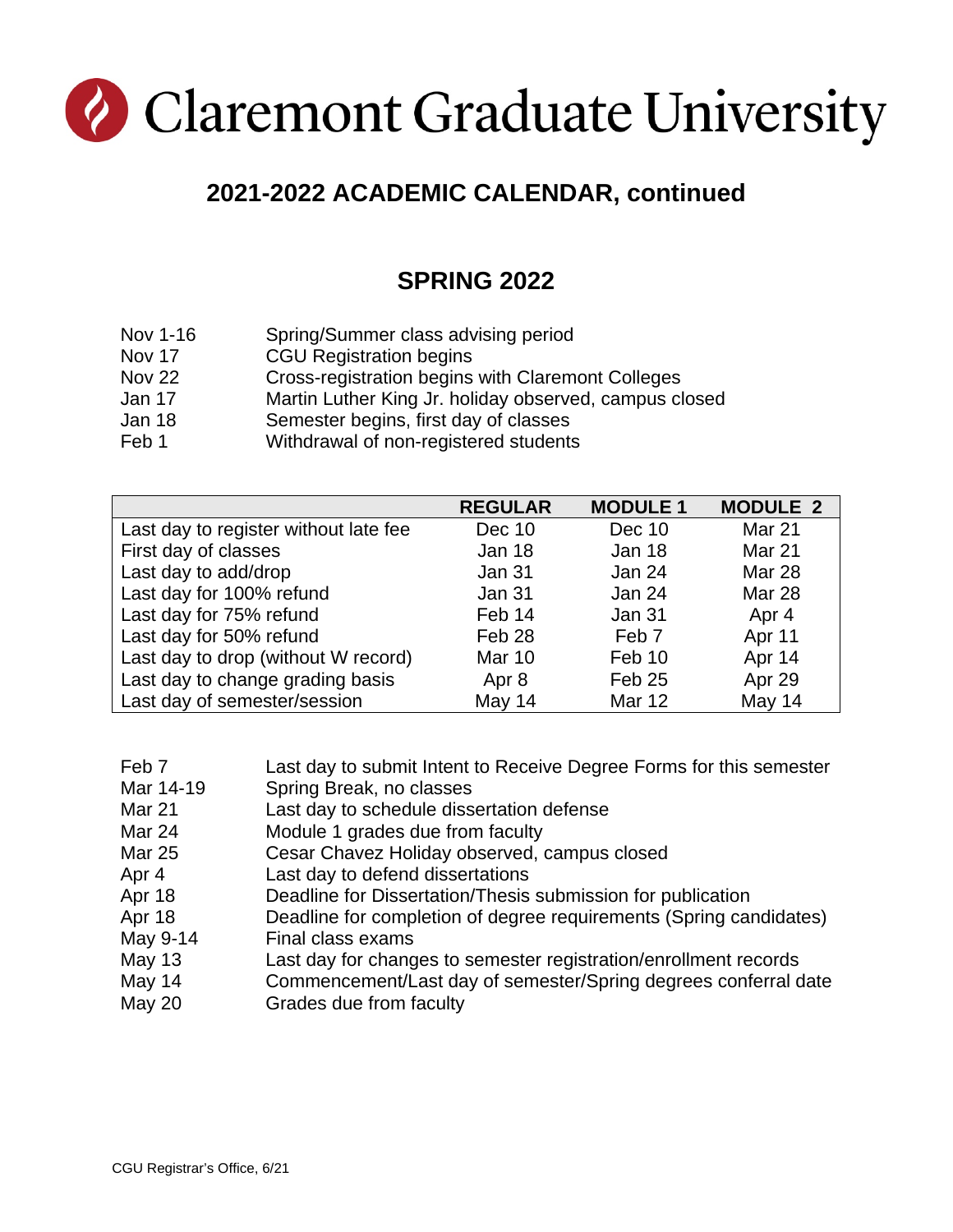## Claremont Graduate University

## **2021-2022 ACADEMIC CALENDAR, continued**

#### **SPRING 2022**

- Nov 1-16 Spring/Summer class advising period
- Nov 17 CGU Registration begins
- Nov 22 Cross-registration begins with Claremont Colleges
- Jan 17 Martin Luther King Jr. holiday observed, campus closed
- Jan 18 Semester begins, first day of classes
- Feb 1 Withdrawal of non-registered students

|                                       | <b>REGULAR</b>    | <b>MODULE 1</b>   | <b>MODULE 2</b> |
|---------------------------------------|-------------------|-------------------|-----------------|
| Last day to register without late fee | Dec 10            | Dec 10            | <b>Mar 21</b>   |
| First day of classes                  | Jan 18            | Jan 18            | <b>Mar 21</b>   |
| Last day to add/drop                  | Jan 31            | Jan 24            | Mar 28          |
| Last day for 100% refund              | Jan 31            | Jan 24            | Mar 28          |
| Last day for 75% refund               | Feb 14            | Jan 31            | Apr 4           |
| Last day for 50% refund               | Feb <sub>28</sub> | Feb <sub>7</sub>  | Apr 11          |
| Last day to drop (without W record)   | <b>Mar 10</b>     | Feb 10            | Apr 14          |
| Last day to change grading basis      | Apr 8             | Feb <sub>25</sub> | Apr 29          |
| Last day of semester/session          | May 14            | <b>Mar 12</b>     | May 14          |

- Feb 7 Last day to submit Intent to Receive Degree Forms for this semester
- Mar 14-19 Spring Break, no classes
- Mar 21 Last day to schedule dissertation defense
- Mar 24 Module 1 grades due from faculty
- Mar 25 Cesar Chavez Holiday observed, campus closed
- Apr 4 Last day to defend dissertations
- Apr 18 Deadline for Dissertation/Thesis submission for publication
- Apr 18 Deadline for completion of degree requirements (Spring candidates)
- May 9-14 Final class exams
- May 13 Last day for changes to semester registration/enrollment records
- May 14 Commencement/Last day of semester/Spring degrees conferral date
- May 20 Grades due from faculty